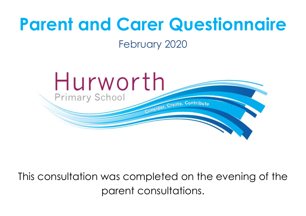# **Parent and Carer Questionnaire**

February 2020



This consultation was completed on the evening of the parent consultations.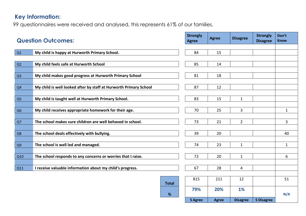## **Key Information:**

99 questionnaires were received and analysed, this represents 61% of our families.

| <b>Question Outcomes:</b> |                                                                   | <b>Strongly</b><br><b>Agree</b> | <b>Agree</b> | <b>Disagree</b> | <b>Strongly</b><br><b>Disagree</b> | Don't<br><b>Know</b> |
|---------------------------|-------------------------------------------------------------------|---------------------------------|--------------|-----------------|------------------------------------|----------------------|
|                           |                                                                   |                                 |              |                 |                                    |                      |
| Q1                        | My child is happy at Hurworth Primary School.                     | 84                              | 15           |                 |                                    |                      |
| Q2                        | My child feels safe at Hurworth School                            | 85                              | 14           |                 |                                    |                      |
| Q <sub>3</sub>            | My child makes good progress at Hurworth Primary School           | 81                              | 18           |                 |                                    |                      |
| Q <sub>4</sub>            | My child is well looked after by staff at Hurworth Primary School | 87                              | 12           |                 |                                    |                      |
| Q <sub>5</sub>            | My child is taught well at Hurworth Primary School.               | 83                              | 15           | $\mathbf{1}$    |                                    |                      |
| Q <sub>6</sub>            | My child receives appropriate homework for their age.             | 70                              | 25           | 3               |                                    | $\mathbf{1}$         |
| Q7                        | The school makes sure children are well behaved in school.        | 73                              | 21           | $\overline{2}$  |                                    | 3                    |
| Q8                        | The school deals effectively with bullying.                       | 39                              | 20           |                 |                                    | 40                   |
| Q <sub>9</sub>            | The school is well led and managed.                               | 74                              | 23           | $\mathbf{1}$    |                                    | $\mathbf{1}$         |
| Q10                       | The school responds to any concerns or worries that I raise.      | 72                              | 20           | $\mathbf{1}$    |                                    | 6                    |
| Q11                       | I receive valuable information about my child's progress.         | 67                              | 28           | 4               |                                    |                      |
|                           | <b>Total</b>                                                      | 815                             | 211          | 12              |                                    | 51                   |
|                           | %                                                                 | 79%                             | 20%          | <b>1%</b>       |                                    | N/A                  |
|                           |                                                                   | <b>S</b> Agree                  | <b>Agree</b> | <b>Disagree</b> | <b>S Disagree</b>                  |                      |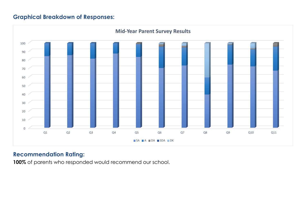#### **Graphical Breakdown of Responses:**



### **Recommendation Rating:**

**100%** of parents who responded would recommend our school.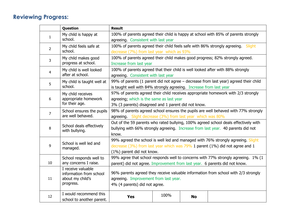## **Reviewing Progress:**

|                                                                       | Question                                                 | <b>Result</b>                                                                        |      |           |                                                                                  |
|-----------------------------------------------------------------------|----------------------------------------------------------|--------------------------------------------------------------------------------------|------|-----------|----------------------------------------------------------------------------------|
| $\mathbf{1}$                                                          | My child is happy at                                     | 100% of parents agreed their child is happy at school with 85% of parents strongly   |      |           |                                                                                  |
|                                                                       | school.                                                  | agreeing. Consistent with last year                                                  |      |           |                                                                                  |
| $\overline{2}$                                                        | My child feels safe at                                   |                                                                                      |      |           | 100% of parents agreed their child feels safe with 86% strongly agreeing. Slight |
|                                                                       | school.                                                  | decrease (7%) from last year which as 93%                                            |      |           |                                                                                  |
| 3                                                                     | My child makes good<br>progress at school.               |                                                                                      |      |           | 100% of parents agreed their child makes good progress; 82% strongly agreed.     |
|                                                                       |                                                          | Increase from last year                                                              |      |           |                                                                                  |
| 4                                                                     | My child is well looked                                  | 100% of parents agreed that their child is well looked after with 88% strongly       |      |           |                                                                                  |
|                                                                       | after at school.                                         | agreeing. Consistent with last year                                                  |      |           |                                                                                  |
| 5                                                                     | My child is taught well at<br>school.                    | 99% of parents (1 parent did not agree - decrease from last year) agreed their child |      |           |                                                                                  |
|                                                                       |                                                          | is taught well with 84% strongly agreeing. Increase from last year                   |      |           |                                                                                  |
|                                                                       | My child receives<br>appropriate homework                | 97% of parents agreed their child receives appropriate homework with 2/3 strongly    |      |           |                                                                                  |
| 6                                                                     |                                                          | agreeing; which is the same as last year                                             |      |           |                                                                                  |
| for their age.<br>3% (3 parents) disagreed and 1 parent did not know. |                                                          |                                                                                      |      |           |                                                                                  |
| 7                                                                     | School ensures the pupils<br>are well behaved.           | 98% of parents agreed school ensures the pupils are well behaved with 77% strongly   |      |           |                                                                                  |
|                                                                       |                                                          | agreeing. Slight decrease (3%) from last year which was 80%                          |      |           |                                                                                  |
|                                                                       | School deals effectively<br>with bullying.               | Out of the 59 parents who rated bullying, 100% agreed school deals effectively with  |      |           |                                                                                  |
| 8                                                                     |                                                          | bullying with 66% strongly agreeing. Increase from last year. 40 parents did not     |      |           |                                                                                  |
|                                                                       |                                                          | know.                                                                                |      |           |                                                                                  |
|                                                                       | School is well led and<br>managed.                       | 99% agreed the school is well led and managed with 76% strongly agreeing. Slight     |      |           |                                                                                  |
| 9                                                                     |                                                          | decrease (3%) from last year which was 79% 1 parent (1%) did not agree and 1         |      |           |                                                                                  |
|                                                                       |                                                          | (1%) parent did not know.                                                            |      |           |                                                                                  |
|                                                                       | School responds well to                                  | 99% agree that school responds well to concerns with 77% strongly agreeing. 1% (1    |      |           |                                                                                  |
| 10                                                                    | any concerns I raise.                                    | parent) did not agree. Improvement from last year. 6 parents did not know.           |      |           |                                                                                  |
|                                                                       | I receive valuable                                       | 96% parents agreed they receive valuable information from school with 2/3 strongly   |      |           |                                                                                  |
| 11                                                                    | information from school<br>about my child's<br>progress. |                                                                                      |      |           |                                                                                  |
|                                                                       |                                                          | agreeing. Improvement from last year.                                                |      |           |                                                                                  |
|                                                                       |                                                          | 4% (4 parents) did not agree.                                                        |      |           |                                                                                  |
|                                                                       | I would recommend this                                   | <b>Yes</b>                                                                           | 100% | <b>No</b> |                                                                                  |
| 12                                                                    | school to another parent.                                |                                                                                      |      |           |                                                                                  |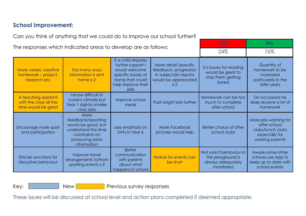### **School Improvement:**

Can you think of anything that we could do to improve our school further?

The responses which indicated areas to develop are as follows:

|                                                                       |                                                                                                                             |                                                                                                                                   |                                                                                                                     | 24%                                                                             | 76%                                                                                            |  |
|-----------------------------------------------------------------------|-----------------------------------------------------------------------------------------------------------------------------|-----------------------------------------------------------------------------------------------------------------------------------|---------------------------------------------------------------------------------------------------------------------|---------------------------------------------------------------------------------|------------------------------------------------------------------------------------------------|--|
| More varied, creative<br>homework – project,<br>research etc          | Too many ways<br>information is sent<br>home x 2                                                                            | If a child requires<br>further support I<br>would welcome<br>specific books at<br>home that could<br>help improve their<br>skills | More detail (specific<br>feedback, progression<br>in subjects) in reports<br>would be appreciated<br>x <sub>5</sub> | 2 x books for reading<br>would be great to<br>stop them getting<br>bored        | Quantity of<br>homework to be<br>increased<br>particularly in the<br>later years               |  |
| A teaching assistant<br>with the class all the<br>time would be great | I know difficult in<br>current climate but<br>Year 1 slightly smaller<br>class sizes                                        | Improve school<br>meals                                                                                                           | Push bright kids further                                                                                            | Homework can be too<br>much to complete<br>after school                         | On occasions he<br>does receive a lot of<br>homework                                           |  |
| Encourage more sport<br>and participation                             | More<br>feedback/reporting<br>would be good, but<br>understand the time<br>constraints on<br>producing extra<br>information | Less emphasis on<br>SATs in Year 6                                                                                                | More Facebook<br>pictures would help                                                                                | Better choice of after<br>school clubs                                          | More pre-warning for<br>after school<br>clubs/lunch clubs<br>especially for<br>working parents |  |
| Stricter sanctions for<br>disruptive behaviour                        | Improve travel<br>arrangements to/from<br>sporting events $\times$ 2                                                        | <b>Better</b><br>communication<br>with parents<br>about what<br>happens in school                                                 | Notice for events can<br>be short                                                                                   | Not sure if behaviour in<br>the playground is<br>always adequately<br>monitored | Aware some other<br>schools use App to<br>keep up to date with<br>school events                |  |

**Yes No**

Key: New New Previous survey responses

These issues will be discussed at school level and action plans completed if deemed appropriate.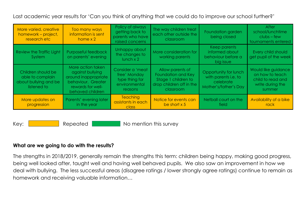Last academic year results for 'Can you think of anything that we could do to improve our school further?'

| More varied, creative<br>homework – project,<br>research etc                   | Too many ways<br>information is sent<br>home $\times 2$                                                                      | Policy of always<br>getting back to<br>parents who have<br>raised concerns     | The way children treat<br>each other outside the<br>classroom                                          | Foundation garden<br>being closed                                                   | After<br>school/lunchtime<br>$clubs - few$<br>tournaments entered                         |
|--------------------------------------------------------------------------------|------------------------------------------------------------------------------------------------------------------------------|--------------------------------------------------------------------------------|--------------------------------------------------------------------------------------------------------|-------------------------------------------------------------------------------------|-------------------------------------------------------------------------------------------|
| Review the Traffic Light<br>System                                             | Purposeful feedback<br>on parents' evening                                                                                   | Unhappy about<br>the changes to<br>$lunch \times 2$                            | More consideration for<br>working parents                                                              | Keep parents<br>informed about<br>behaviour before a<br>big issue                   | Every child should<br>get pupil of the week                                               |
| Children should be<br>able to complain<br>about bullying and be<br>listened to | More action taken<br>against bullying<br>around inappropriate<br>behaviour. Greater<br>rewards for well-<br>behaved children | Consider a 'meat<br>free' Monday<br>type thing for<br>environmental<br>reasons | Allow parents of<br>Foundation and Key<br>Stage 1 children to<br>drop children off in the<br>classroom | Opportunity for lunch<br>with parents i.e. to<br>celebrate<br>Mother's/father's Day | Would like guidance<br>on how to teach<br>child to read and<br>write during the<br>summer |
| More updates on<br>progression                                                 | Parents' evening later<br>in the year                                                                                        | <b>Teaching</b><br>assistants in each<br>class                                 | Notice for events can<br>be short $x 5$                                                                | Netball court on the<br>field                                                       | Availability of a bike<br>rack                                                            |

Key: Repeated No mention this survey

#### **What are we going to do with the results?**

The strengths in 2018/2019, generally remain the strengths this term: children being happy, making good progress, being well looked after, taught well and having well behaved pupils. We also saw an improvement in how we deal with bullying. The less successful areas (disagree ratings / lower strongly agree ratings) continue to remain as homework and receiving valuable information…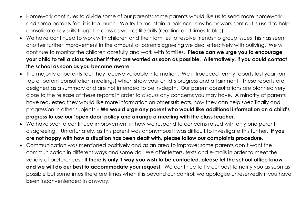- Homework continues to divide some of our parents: some parents would like us to send more homework and some parents feel it is too much. We try to maintain a balance; any homework sent out is used to help consolidate key skills taught in class as well as life skills (reading and times tables).
- We have continued to work with children and their families to resolve friendship group issues this has seen another further improvement in the amount of parents agreeing we deal effectively with bullying. We will continue to monitor the children carefully and work with families. **Please can we urge you to encourage your child to tell a class teacher if they are worried as soon as possible. Alternatively, if you could contact the school as soon as you become aware.**
- The majority of parents feel they receive valuable information. We introduced termly reports last year (on top of parent consultation meetings) which show your child's progress and attainment. These reports are designed as a summary and are not intended to be in-depth. Our parent consultations are planned very close to the release of these reports in order to discuss any concerns you may have. A minority of parents have requested they would like more information on other subjects, how they can help specifically and progression in other subjects – **We would urge any parent who would like additional information on a child's progress to use our 'open door' policy and arrange a meeting with the class teacher.**
- We have seen a continued improvement in how we respond to concerns raised with only one parent disagreeing. Unfortunately, as this parent was anonymous it was difficult to investigate this further. **If you are not happy with how a situation has been dealt with, please follow our complaints procedure.**
- Communication was mentioned positively and as an area to improve; some parents don't want the communication in different ways and some do. We offer letters, texts and e-mails in order to meet the variety of preferences. **If there is only 1 way you wish to be contacted, please let the school office know and we will do our best to accommodate your request**. We continue to try our best to notify you as soon as possible but sometimes there are times when it is beyond our control; we apologise unreservedly if you have been inconvenienced in anyway.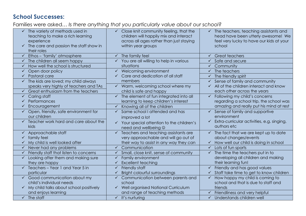## **School Successes:**

Families were asked… *Is there anything that you particularly value about our school?*

| The variety of methods used in<br>$\checkmark$         | Close knit community feeling, that the<br>$\checkmark$   | The teachers, teaching assistants and<br>$\checkmark$      |
|--------------------------------------------------------|----------------------------------------------------------|------------------------------------------------------------|
| teaching to make a rich learning                       | children will happily mix and interact                   | head have been utterly awesome! We                         |
|                                                        |                                                          |                                                            |
| experience                                             | across all ages rather than just staying                 | feel very lucky to have our kids at your                   |
| The care and passion the staff show in<br>$\checkmark$ | within year groups                                       | school                                                     |
| their roles                                            |                                                          |                                                            |
| Ethos - 'family' atmosphere<br>$\checkmark$            | The family feel                                          | <b>Great teachers</b><br>✓                                 |
| The children all seem happy                            | You are all willing to help in various                   | Safe and secure                                            |
| How well the school is structured<br>✓                 | situations                                               | Community<br>$\checkmark$                                  |
| Open door policy<br>✓                                  | Welcoming environment<br>$\checkmark$                    | The teachers<br>$\checkmark$                               |
| Pastoral care<br>$\checkmark$                          | Care and dedication of all staff                         | The friendly spirit                                        |
| The kids are loved; my child always<br>✓               | members                                                  | Sense of family and community                              |
| speaks very highly of teachers and TAs                 | $\checkmark$<br>Warm, welcoming school where my          | $\checkmark$ All of the children interact and know         |
| Great enthusiasm from the teachers<br>$\checkmark$     | child is safe and happy                                  | each other across the years                                |
| Caring staff<br>$\checkmark$                           | The element of fun integrated into all<br>$\checkmark$   | $\checkmark$<br>Following my child's concerns              |
| Performances<br>✓                                      | learning to keep children's interest                     | regarding a school trip, the school was                    |
| Encouragement                                          | Knowing all of the children                              | amazing and really put his mind at rest                    |
| Open, friendly, safe environment for<br>$\checkmark$   | Same school I attended and has<br>$\checkmark$           | Sense of family and supportive                             |
| our children                                           |                                                          | environment                                                |
| Teacher work hard and care about the                   | improved a lot                                           |                                                            |
| $\checkmark$                                           | Your special attention to the children's<br>$\checkmark$ | Extra-curricular activities, e.g. singing,<br>$\checkmark$ |
| kids                                                   | need and wellbeing $\odot$                               | authors etc                                                |
| Approachable staff<br>$\checkmark$                     | Teachers and teaching assistants are<br>$\checkmark$     | The fact that we are kept up to date<br>$\checkmark$       |
| family feel<br>$\checkmark$                            | very approachable and will go out of                     | about changes/events                                       |
| My child is well looked after                          | their way to assist in any way they can                  | How well our child is doing in school<br>$\checkmark$      |
| Never had any problems<br>✓                            | $\checkmark$<br>Communication                            | Lots of fun sports<br>$\checkmark$                         |
| Friendly staff that listen to concerns<br>$\checkmark$ | Small, close knit, sense of community                    | The time the teachers put in to                            |
| Looking after them and making sure<br>$\checkmark$     | Family environment                                       | developing all children and making                         |
| they are happy                                         | <b>Excellent teaching</b><br>$\checkmark$                | their learning fun!                                        |
| Teachers - Year 1 and Year 5 in<br>$\checkmark$        | Friendly staff<br>$\checkmark$                           | Friendly and has good values                               |
| particular                                             | Bright colourful surroundings<br>✓                       | Staff take time to get to know children                    |
| Good communication about my<br>$\checkmark$            | Communication between parents and<br>$\checkmark$        | How happy my child is coming to<br>$\checkmark$            |
| child's individual needs                               | school                                                   | school and that is due to staff and                        |
| My child talks about school positively<br>$\checkmark$ | Well organised National Curriculum                       | friends                                                    |
| and enjoys learning                                    | and range of teaching methods                            | Friendliness and very helpful                              |
| $\checkmark$<br>The staff                              | $\checkmark$<br>It's nurturing                           | Understands children well<br>$\checkmark$                  |
|                                                        |                                                          |                                                            |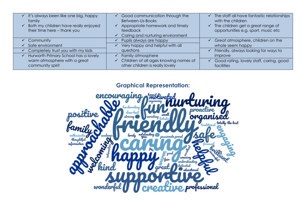| It's always been like one big, happy<br>family                      | Good communication through the<br>Between-Us-Books                              | ✓            | The staff all have fantastic relationships<br>with the children          |
|---------------------------------------------------------------------|---------------------------------------------------------------------------------|--------------|--------------------------------------------------------------------------|
| Both my children have really enjoyed<br>their time here - thank you | Appropriate homework and timely<br>feedback<br>Caring and nurturing environment | $\checkmark$ | The children get a great range of<br>opportunities e.g. sport, music etc |
| Community                                                           | Pupils always are happy                                                         |              | Great atmosphere, children on the                                        |
| Safe environment                                                    | Very happy and helpful with all                                                 |              | whole seem happy                                                         |
| Completely trust you with my kids                                   | questions                                                                       |              | Friendly, always looking for ways to                                     |
| Hurworth Primary School has a lovely                                | Family atmosphere                                                               |              | improve                                                                  |
| warm atmosphere with a great<br>community spirit                    | Children of all ages knowing names of<br>other children is really lovely        |              | Good rating, lovely staff, caring, good<br>facilities                    |

**Graphical Representation:**